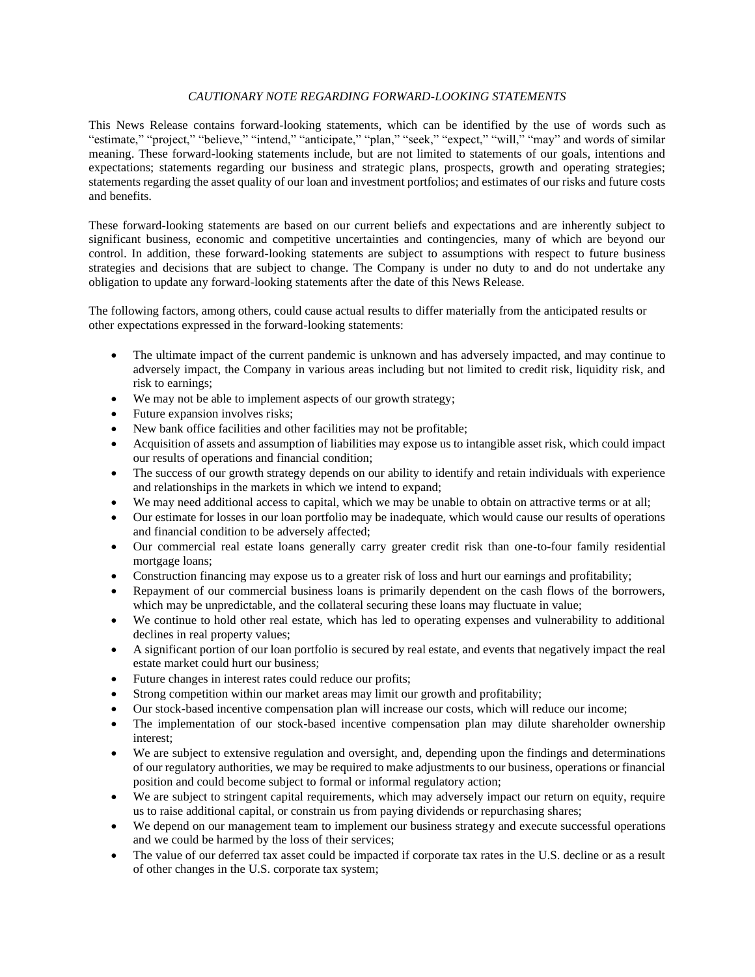## *CAUTIONARY NOTE REGARDING FORWARD-LOOKING STATEMENTS*

This News Release contains forward-looking statements, which can be identified by the use of words such as "estimate," "project," "believe," "intend," "anticipate," "plan," "seek," "expect," "will," "may" and words of similar meaning. These forward-looking statements include, but are not limited to statements of our goals, intentions and expectations; statements regarding our business and strategic plans, prospects, growth and operating strategies; statements regarding the asset quality of our loan and investment portfolios; and estimates of our risks and future costs and benefits.

These forward-looking statements are based on our current beliefs and expectations and are inherently subject to significant business, economic and competitive uncertainties and contingencies, many of which are beyond our control. In addition, these forward-looking statements are subject to assumptions with respect to future business strategies and decisions that are subject to change. The Company is under no duty to and do not undertake any obligation to update any forward-looking statements after the date of this News Release.

The following factors, among others, could cause actual results to differ materially from the anticipated results or other expectations expressed in the forward-looking statements:

- The ultimate impact of the current pandemic is unknown and has adversely impacted, and may continue to adversely impact, the Company in various areas including but not limited to credit risk, liquidity risk, and risk to earnings;
- We may not be able to implement aspects of our growth strategy;
- Future expansion involves risks;
- New bank office facilities and other facilities may not be profitable;
- Acquisition of assets and assumption of liabilities may expose us to intangible asset risk, which could impact our results of operations and financial condition;
- The success of our growth strategy depends on our ability to identify and retain individuals with experience and relationships in the markets in which we intend to expand;
- We may need additional access to capital, which we may be unable to obtain on attractive terms or at all;
- Our estimate for losses in our loan portfolio may be inadequate, which would cause our results of operations and financial condition to be adversely affected;
- Our commercial real estate loans generally carry greater credit risk than one-to-four family residential mortgage loans;
- Construction financing may expose us to a greater risk of loss and hurt our earnings and profitability;
- Repayment of our commercial business loans is primarily dependent on the cash flows of the borrowers, which may be unpredictable, and the collateral securing these loans may fluctuate in value;
- We continue to hold other real estate, which has led to operating expenses and vulnerability to additional declines in real property values;
- A significant portion of our loan portfolio is secured by real estate, and events that negatively impact the real estate market could hurt our business;
- Future changes in interest rates could reduce our profits;
- Strong competition within our market areas may limit our growth and profitability;
- Our stock-based incentive compensation plan will increase our costs, which will reduce our income;
- The implementation of our stock-based incentive compensation plan may dilute shareholder ownership interest;
- We are subject to extensive regulation and oversight, and, depending upon the findings and determinations of our regulatory authorities, we may be required to make adjustments to our business, operations or financial position and could become subject to formal or informal regulatory action;
- We are subject to stringent capital requirements, which may adversely impact our return on equity, require us to raise additional capital, or constrain us from paying dividends or repurchasing shares;
- We depend on our management team to implement our business strategy and execute successful operations and we could be harmed by the loss of their services;
- The value of our deferred tax asset could be impacted if corporate tax rates in the U.S. decline or as a result of other changes in the U.S. corporate tax system;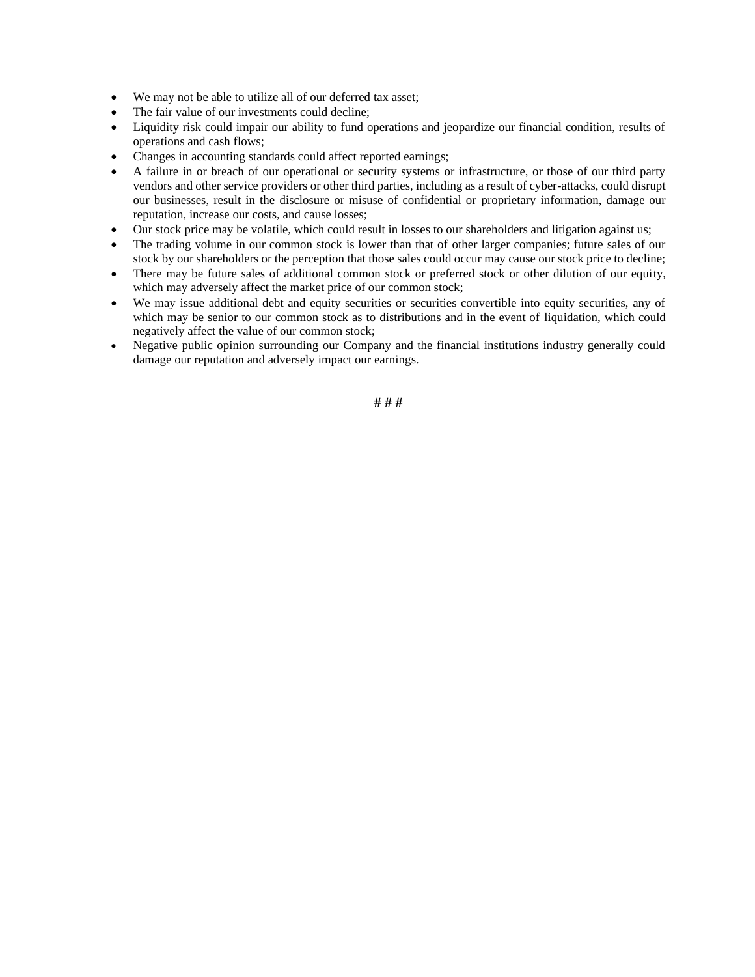- We may not be able to utilize all of our deferred tax asset;
- The fair value of our investments could decline:
- Liquidity risk could impair our ability to fund operations and jeopardize our financial condition, results of operations and cash flows;
- Changes in accounting standards could affect reported earnings;
- A failure in or breach of our operational or security systems or infrastructure, or those of our third party vendors and other service providers or other third parties, including as a result of cyber-attacks, could disrupt our businesses, result in the disclosure or misuse of confidential or proprietary information, damage our reputation, increase our costs, and cause losses;
- Our stock price may be volatile, which could result in losses to our shareholders and litigation against us;
- The trading volume in our common stock is lower than that of other larger companies; future sales of our stock by our shareholders or the perception that those sales could occur may cause our stock price to decline;
- There may be future sales of additional common stock or preferred stock or other dilution of our equity, which may adversely affect the market price of our common stock;
- We may issue additional debt and equity securities or securities convertible into equity securities, any of which may be senior to our common stock as to distributions and in the event of liquidation, which could negatively affect the value of our common stock;
- Negative public opinion surrounding our Company and the financial institutions industry generally could damage our reputation and adversely impact our earnings.

**# # #**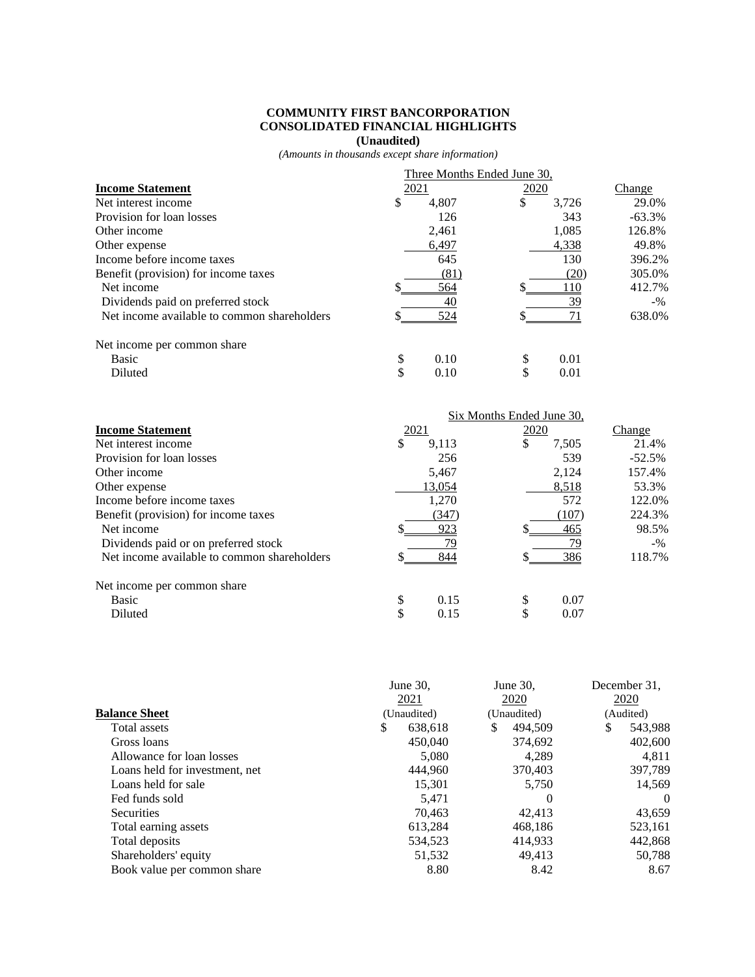## **COMMUNITY FIRST BANCORPORATION CONSOLIDATED FINANCIAL HIGHLIGHTS**

## **(Unaudited)**

*(Amounts in thousands except share information)*

| <b>Income Statement</b>                     | Three Months Ended June 30, |       |    |       |           |
|---------------------------------------------|-----------------------------|-------|----|-------|-----------|
|                                             | 2021                        |       |    | 2020  |           |
| Net interest income                         | S                           | 4,807 | \$ | 3,726 | 29.0%     |
| Provision for loan losses                   |                             | 126   |    | 343   | $-63.3\%$ |
| Other income                                |                             | 2,461 |    | 1,085 | 126.8%    |
| Other expense                               |                             | 6,497 |    | 4,338 | 49.8%     |
| Income before income taxes                  |                             | 645   |    | 130   | 396.2%    |
| Benefit (provision) for income taxes        |                             | (81)  |    | (20)  | 305.0%    |
| Net income                                  |                             | 564   |    | 110   | 412.7%    |
| Dividends paid on preferred stock           |                             | 40    |    | 39    | $-9/0$    |
| Net income available to common shareholders |                             | 524   |    | 7.    | 638.0%    |
| Net income per common share                 |                             |       |    |       |           |
| <b>Basic</b>                                | \$                          | 0.10  | \$ | 0.01  |           |
| Diluted                                     | ¢                           | 0.10  | \$ | 0.01  |           |

|                                             | Six Months Ended June 30, |        |    |       |          |
|---------------------------------------------|---------------------------|--------|----|-------|----------|
| <b>Income Statement</b>                     |                           | 2021   |    | 2020  |          |
| Net interest income                         | \$                        | 9,113  | \$ | 7,505 | 21.4%    |
| Provision for loan losses                   |                           | 256    |    | 539   | $-52.5%$ |
| Other income                                |                           | 5,467  |    | 2,124 | 157.4%   |
| Other expense                               |                           | 13,054 |    | 8,518 | 53.3%    |
| Income before income taxes                  |                           | 1,270  |    | 572   | 122.0%   |
| Benefit (provision) for income taxes        |                           | (347)  |    | (107) | 224.3%   |
| Net income                                  |                           | 923    |    | 465   | 98.5%    |
| Dividends paid or on preferred stock        |                           | 79     |    | 79    | $-9/0$   |
| Net income available to common shareholders |                           | 844    |    | 386   | 118.7%   |
| Net income per common share                 |                           |        |    |       |          |
| Basic                                       | \$                        | 0.15   | \$ | 0.07  |          |
| Diluted                                     | \$                        | 0.15   | \$ | 0.07  |          |

|                                | June $30.$   | June 30,     | December 31. |  |
|--------------------------------|--------------|--------------|--------------|--|
|                                | 2021         | 2020         | 2020         |  |
| <b>Balance Sheet</b>           | (Unaudited)  | (Unaudited)  | (Audited)    |  |
| Total assets                   | 638,618<br>S | 494,509<br>S | 543,988<br>S |  |
| Gross loans                    | 450,040      | 374,692      | 402,600      |  |
| Allowance for loan losses      | 5,080        | 4.289        | 4,811        |  |
| Loans held for investment, net | 444.960      | 370,403      | 397,789      |  |
| Loans held for sale            | 15,301       | 5,750        | 14,569       |  |
| Fed funds sold                 | 5,471        | $\Omega$     | $\Omega$     |  |
| <b>Securities</b>              | 70.463       | 42.413       | 43,659       |  |
| Total earning assets           | 613,284      | 468,186      | 523,161      |  |
| Total deposits                 | 534,523      | 414,933      | 442,868      |  |
| Shareholders' equity           | 51,532       | 49.413       | 50.788       |  |
| Book value per common share    | 8.80         | 8.42         | 8.67         |  |
|                                |              |              |              |  |